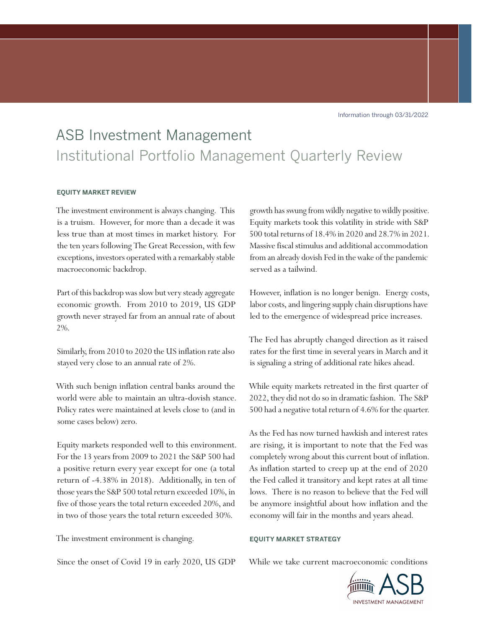Information through 03/31/2022

# ASB Investment Management Institutional Portfolio Management Quarterly Review

## **EQUITY MARKET REVIEW**

The investment environment is always changing. This is a truism. However, for more than a decade it was less true than at most times in market history. For the ten years following The Great Recession, with few exceptions, investors operated with a remarkably stable macroeconomic backdrop.

Part of this backdrop was slow but very steady aggregate economic growth. From 2010 to 2019, US GDP growth never strayed far from an annual rate of about 2%.

Similarly, from 2010 to 2020 the US inflation rate also stayed very close to an annual rate of 2%.

With such benign inflation central banks around the world were able to maintain an ultra-dovish stance. Policy rates were maintained at levels close to (and in some cases below) zero.

Equity markets responded well to this environment. For the 13 years from 2009 to 2021 the S&P 500 had a positive return every year except for one (a total return of -4.38% in 2018). Additionally, in ten of those years the S&P 500 total return exceeded 10%, in five of those years the total return exceeded 20%, and in two of those years the total return exceeded 30%.

The investment environment is changing.

Since the onset of Covid 19 in early 2020, US GDP

growth has swung from wildly negative to wildly positive. Equity markets took this volatility in stride with S&P 500 total returns of 18.4% in 2020 and 28.7% in 2021. Massive fiscal stimulus and additional accommodation from an already dovish Fed in the wake of the pandemic served as a tailwind.

However, inflation is no longer benign. Energy costs, labor costs, and lingering supply chain disruptions have led to the emergence of widespread price increases.

The Fed has abruptly changed direction as it raised rates for the first time in several years in March and it is signaling a string of additional rate hikes ahead.

While equity markets retreated in the first quarter of 2022, they did not do so in dramatic fashion. The S&P 500 had a negative total return of 4.6% for the quarter.

As the Fed has now turned hawkish and interest rates are rising, it is important to note that the Fed was completely wrong about this current bout of inflation. As inflation started to creep up at the end of 2020 the Fed called it transitory and kept rates at all time lows. There is no reason to believe that the Fed will be anymore insightful about how inflation and the economy will fair in the months and years ahead.

### **EQUITY MARKET STRATEGY**

While we take current macroeconomic conditions

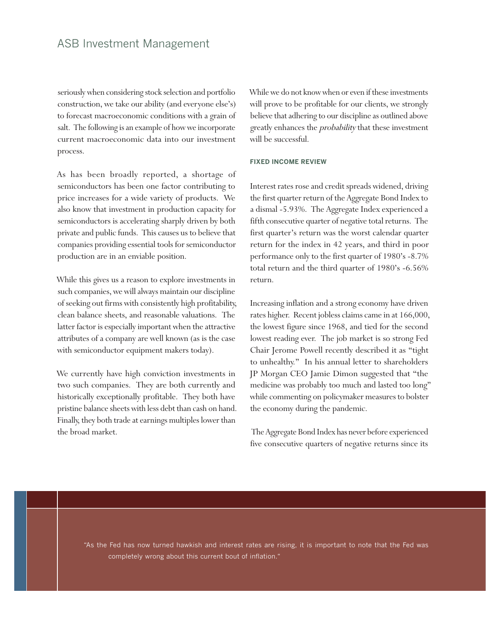seriously when considering stock selection and portfolio construction, we take our ability (and everyone else's) to forecast macroeconomic conditions with a grain of salt. The following is an example of how we incorporate current macroeconomic data into our investment process.

As has been broadly reported, a shortage of semiconductors has been one factor contributing to price increases for a wide variety of products. We also know that investment in production capacity for semiconductors is accelerating sharply driven by both private and public funds. This causes us to believe that companies providing essential tools for semiconductor production are in an enviable position.

While this gives us a reason to explore investments in such companies, we will always maintain our discipline of seeking out firms with consistently high profitability, clean balance sheets, and reasonable valuations. The latter factor is especially important when the attractive attributes of a company are well known (as is the case with semiconductor equipment makers today).

We currently have high conviction investments in two such companies. They are both currently and historically exceptionally profitable. They both have pristine balance sheets with less debt than cash on hand. Finally, they both trade at earnings multiples lower than the broad market.

While we do not know when or even if these investments will prove to be profitable for our clients, we strongly believe that adhering to our discipline as outlined above greatly enhances the *probability* that these investment will be successful.

#### **FIXED INCOME REVIEW**

Interest rates rose and credit spreads widened, driving the first quarter return of the Aggregate Bond Index to a dismal -5.93%. The Aggregate Index experienced a fifth consecutive quarter of negative total returns. The first quarter's return was the worst calendar quarter return for the index in 42 years, and third in poor performance only to the first quarter of 1980's -8.7% total return and the third quarter of 1980's -6.56% return.

Increasing inflation and a strong economy have driven rates higher. Recent jobless claims came in at 166,000, the lowest figure since 1968, and tied for the second lowest reading ever. The job market is so strong Fed Chair Jerome Powell recently described it as "tight to unhealthy." In his annual letter to shareholders JP Morgan CEO Jamie Dimon suggested that "the medicine was probably too much and lasted too long" while commenting on policymaker measures to bolster the economy during the pandemic.

 The Aggregate Bond Index has never before experienced five consecutive quarters of negative returns since its

"As the Fed has now turned hawkish and interest rates are rising, it is important to note that the Fed was completely wrong about this current bout of inflation."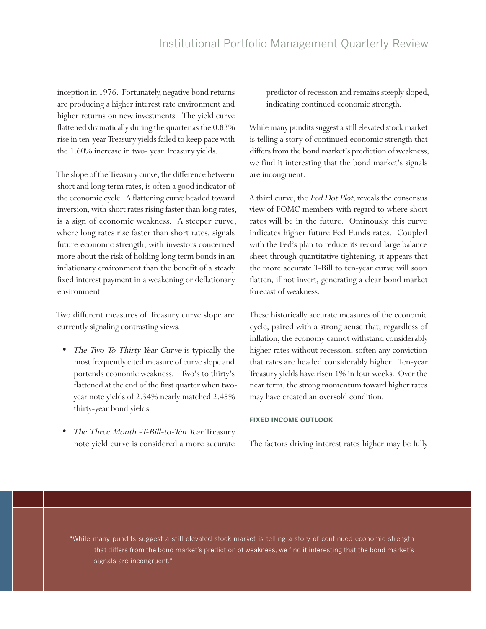inception in 1976. Fortunately, negative bond returns are producing a higher interest rate environment and higher returns on new investments. The yield curve flattened dramatically during the quarter as the 0.83% rise in ten-year Treasury yields failed to keep pace with the 1.60% increase in two- year Treasury yields.

The slope of the Treasury curve, the difference between short and long term rates, is often a good indicator of the economic cycle. A flattening curve headed toward inversion, with short rates rising faster than long rates, is a sign of economic weakness. A steeper curve, where long rates rise faster than short rates, signals future economic strength, with investors concerned more about the risk of holding long term bonds in an inflationary environment than the benefit of a steady fixed interest payment in a weakening or deflationary environment.

Two different measures of Treasury curve slope are currently signaling contrasting views.

- The Two-To-Thirty Year Curve is typically the most frequently cited measure of curve slope and portends economic weakness. Two's to thirty's flattened at the end of the first quarter when twoyear note yields of 2.34% nearly matched 2.45% thirty-year bond yields.
- The Three Month -T-Bill-to-Ten Year Treasury note yield curve is considered a more accurate

predictor of recession and remains steeply sloped, indicating continued economic strength.

While many pundits suggest a still elevated stock market is telling a story of continued economic strength that differs from the bond market's prediction of weakness, we find it interesting that the bond market's signals are incongruent.

A third curve, the Fed Dot Plot, reveals the consensus view of FOMC members with regard to where short rates will be in the future. Ominously, this curve indicates higher future Fed Funds rates. Coupled with the Fed's plan to reduce its record large balance sheet through quantitative tightening, it appears that the more accurate T-Bill to ten-year curve will soon flatten, if not invert, generating a clear bond market forecast of weakness.

These historically accurate measures of the economic cycle, paired with a strong sense that, regardless of inflation, the economy cannot withstand considerably higher rates without recession, soften any conviction that rates are headed considerably higher. Ten-year Treasury yields have risen 1% in four weeks. Over the near term, the strong momentum toward higher rates may have created an oversold condition.

# **FIXED INCOME OUTLOOK**

The factors driving interest rates higher may be fully

"While many pundits suggest a still elevated stock market is telling a story of continued economic strength that differs from the bond market's prediction of weakness, we find it interesting that the bond market's signals are incongruent."